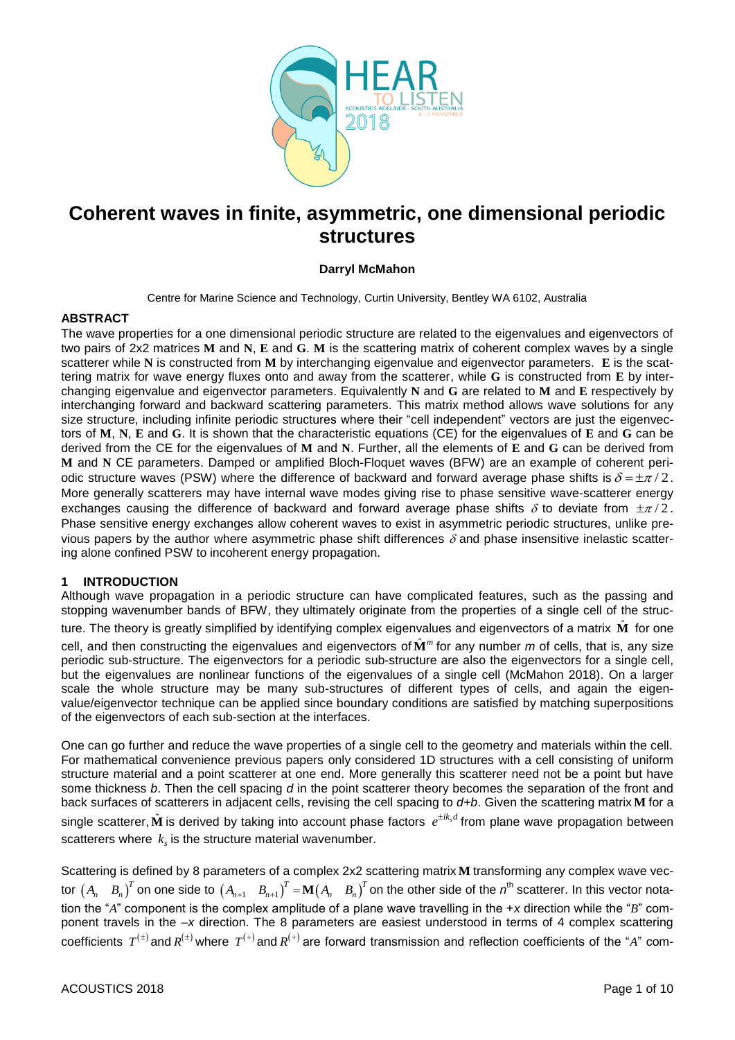

# **Coherent waves in finite, asymmetric, one dimensional periodic structures**

# **Darryl McMahon**

Centre for Marine Science and Technology, Curtin University, Bentley WA 6102, Australia

# **ABSTRACT**

The wave properties for a one dimensional periodic structure are related to the eigenvalues and eigenvectors of two pairs of 2x2 matrices **M** and **N**, **E** and **G**. **M** is the scattering matrix of coherent complex waves by a single scatterer while **N** is constructed from **M** by interchanging eigenvalue and eigenvector parameters. **E** is the scattering matrix for wave energy fluxes onto and away from the scatterer, while **G** is constructed from **E** by interchanging eigenvalue and eigenvector parameters. Equivalently **N** and **G** are related to **M** and **E** respectively by interchanging forward and backward scattering parameters. This matrix method allows wave solutions for any size structure, including infinite periodic structures where their "cell independent" vectors are just the eigenvectors of **M**, **N**, **E** and **G**. It is shown that the characteristic equations (CE) for the eigenvalues of **E** and **G** can be derived from the CE for the eigenvalues of **M** and **N**. Further, all the elements of **E** and **G** can be derived from **M** and **N** CE parameters. Damped or amplified Bloch-Floquet waves (BFW) are an example of coherent periodic structure waves (PSW) where the difference of backward and forward average phase shifts is  $\delta$  =  $\pm \pi$  / 2. More generally scatterers may have internal wave modes giving rise to phase sensitive wave-scatterer energy exchanges causing the difference of backward and forward average phase shifts  $\delta$  to deviate from  $\pm \pi/2$ . Phase sensitive energy exchanges allow coherent waves to exist in asymmetric periodic structures, unlike previous papers by the author where asymmetric phase shift differences  $\delta$  and phase insensitive inelastic scattering alone confined PSW to incoherent energy propagation.

#### **1 INTRODUCTION**

Although wave propagation in a periodic structure can have complicated features, such as the passing and stopping wavenumber bands of BFW, they ultimately originate from the properties of a single cell of the structure. The theory is greatly simplified by identifying complex eigenvalues and eigenvectors of a matrix  $\hat{\mathbf{M}}$  for one cell, and then constructing the eigenvalues and eigenvectors of  $\hat{\bf M}^m$  for any number *m* of cells, that is, any size periodic sub-structure. The eigenvectors for a periodic sub-structure are also the eigenvectors for a single cell, but the eigenvalues are nonlinear functions of the eigenvalues of a single cell (McMahon 2018). On a larger scale the whole structure may be many sub-structures of different types of cells, and again the eigenvalue/eigenvector technique can be applied since boundary conditions are satisfied by matching superpositions of the eigenvectors of each sub-section at the interfaces.

One can go further and reduce the wave properties of a single cell to the geometry and materials within the cell. For mathematical convenience previous papers only considered 1D structures with a cell consisting of uniform structure material and a point scatterer at one end. More generally this scatterer need not be a point but have some thickness *b*. Then the cell spacing *d* in the point scatterer theory becomes the separation of the front and back surfaces of scatterers in adjacent cells, revising the cell spacing to *d+b*. Given the scattering matrix **M** for a single scatterer,  $\hat{\bf M}$  is derived by taking into account phase factors  $e^{\pm ik_s d}$  from plane wave propagation between scatterers where  $k_s$  is the structure material wavenumber.

Scattering is defined by 8 parameters of a complex 2x2 scattering matrix **M** transforming any complex wave vec- $T = \tan^{-1}$   $\sin^{-1}$   $\sin^{-1}$   $\sin^{-1}$   $\sin^{-1}$   $\sin^{-1}$   $\sin^{-1}$   $\sin^{-1}$   $\sin^{-1}$   $\sin^{-1}$   $\sin^{-1}$   $\sin^{-1}$   $\sin^{-1}$   $\sin^{-1}$   $\sin^{-1}$   $\sin^{-1}$   $\sin^{-1}$   $\sin^{-1}$   $\sin^{-1}$   $\sin^{-1}$   $\sin^{-1}$   $\sin^{-1}$   $\sin^{-1}$   $\sin^{-1}$   $\sin^{-1}$   $\sin^{-1}$   $\sin^{-1}$   $\sin$ tion the "*A*" component is the complex amplitude of a plane wave travelling in the +*x* direction while the "*B*" component travels in the –*x* direction. The 8 parameters are easiest understood in terms of 4 complex scattering coefficients  $T^{(\pm)}$  and  $R^{(\pm)}$  where  $\ T^{(+)}$  and  $R^{(+)}$  are forward transmission and reflection coefficients of the "*A*" com-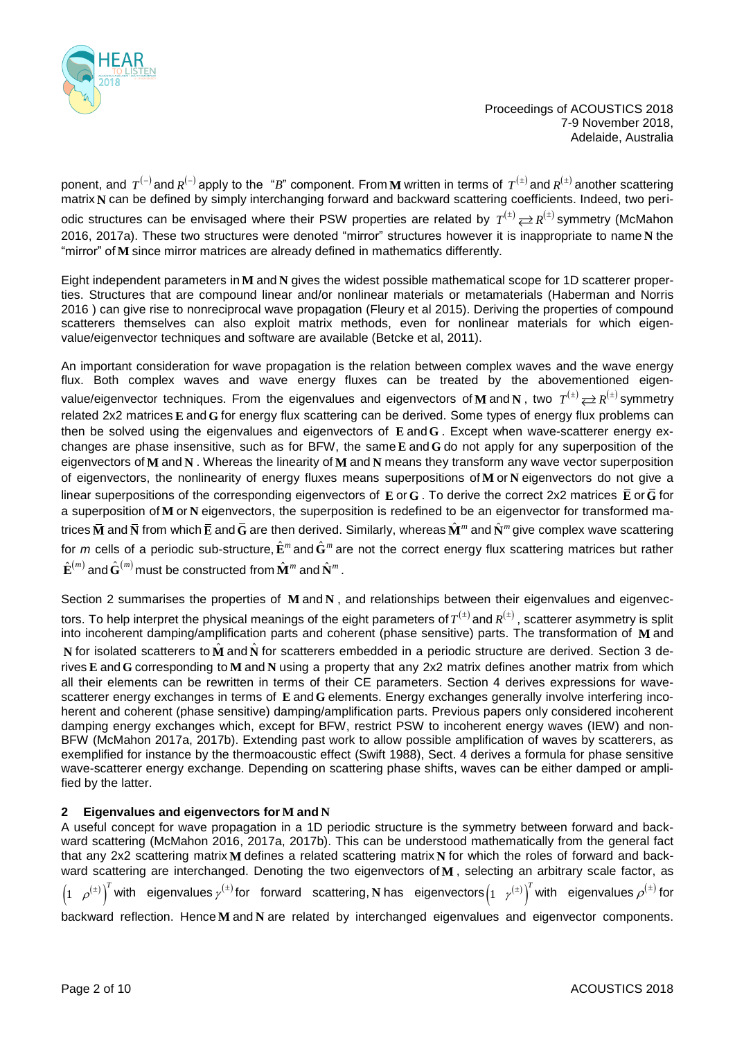

ponent, and  $T^{(-)}$  and  $R^{(-)}$  apply to the "*B*" component. From **M** written in terms of  $T^{(\pm)}$  and  $R^{(\pm)}$  another scattering matrix **N** can be defined by simply interchanging forward and backward scattering coefficients. Indeed, two periodic structures can be envisaged where their PSW properties are related by  $T^{(\pm)}$   $\rightleftarrows R^{(\pm)}$  symmetry (McMahon 2016, 2017a). These two structures were denoted "mirror" structures however it is inappropriate to name **N** the "mirror" of **M** since mirror matrices are already defined in mathematics differently.

Eight independent parameters in $\bf{M}$  and  $\bf{N}$  gives the widest possible mathematical scope for 1D scatterer properties. Structures that are compound linear and/or nonlinear materials or metamaterials (Haberman and Norris 2016 ) can give rise to nonreciprocal wave propagation (Fleury et al 2015). Deriving the properties of compound scatterers themselves can also exploit matrix methods, even for nonlinear materials for which eigenvalue/eigenvector techniques and software are available (Betcke et al, 2011).

An important consideration for wave propagation is the relation between complex waves and the wave energy flux. Both complex waves and wave energy fluxes can be treated by the abovementioned eigenvalue/eigenvector techniques. From the eigenvalues and eigenvectors of M and N , two  $T^{(\pm)}$   $\rightleftarrows R^{(\pm)}$  symmetry related 2x2 matrices **E** and G for energy flux scattering can be derived. Some types of energy flux problems can then be solved using the eigenvalues and eigenvectors of **E** and **G** . Except when wave-scatterer energy exchanges are phase insensitive, such as for BFW, the same **E** and **G** do not apply for any superposition of the eigenvectors of **M** and **N** . Whereas the linearity of **M** and **N** means they transform any wave vector superposition of eigenvectors, the nonlinearity of energy fluxes means superpositions of **M** or **N** eigenvectors do not give a linear superpositions of the corresponding eigenvectors of  $\bf E$  or  $\bf G$  . To derive the correct 2x2 matrices  $\bf E$  or  $\bf G$  for a superposition of M or N eigenvectors, the superposition is redefined to be an eigenvector for transformed matrices  $\bar{\bf M}$  and  $\bar{\bf N}$  from which  $\bar{\bf E}$  and  $\bar{\bf G}$  are then derived. Similarly, whereas  $\hat{\bf M}^m$  and  $\hat{\bf N}^m$  give complex wave scattering for *m* cells of a periodic sub-structure, $\hat{\bf E}^m$  and  $\hat{\bf G}^m$  are not the correct energy flux scattering matrices but rather  $\hat{\mathbf{E}}^{(m)}$  and  $\hat{\mathbf{G}}^{(m)}$  must be constructed from  $\hat{\mathbf{M}}^{m}$  and  $\hat{\mathbf{N}}^{m}$  .

Section 2 summarises the properties of M and N, and relationships between their eigenvalues and eigenvectors. To help interpret the physical meanings of the eight parameters of  $T^{(\pm)}$  and  $R^{(\pm)}$  , scatterer asymmetry is split into incoherent damping/amplification parts and coherent (phase sensitive) parts. The transformation of **M** and **N** for isolated scatterers to  $\hat{\bf M}$  and  $\hat{\bf N}$  for scatterers embedded in a periodic structure are derived. Section 3 derives E and G corresponding to M and N using a property that any 2x2 matrix defines another matrix from which all their elements can be rewritten in terms of their CE parameters. Section 4 derives expressions for wavescatterer energy exchanges in terms of E and G elements. Energy exchanges generally involve interfering incoherent and coherent (phase sensitive) damping/amplification parts. Previous papers only considered incoherent damping energy exchanges which, except for BFW, restrict PSW to incoherent energy waves (IEW) and non-BFW (McMahon 2017a, 2017b). Extending past work to allow possible amplification of waves by scatterers, as exemplified for instance by the thermoacoustic effect (Swift 1988), Sect. 4 derives a formula for phase sensitive wave-scatterer energy exchange. Depending on scattering phase shifts, waves can be either damped or amplified by the latter.

# **2 Eigenvalues and eigenvectors for M and N**

A useful concept for wave propagation in a 1D periodic structure is the symmetry between forward and backward scattering (McMahon 2016, 2017a, 2017b). This can be understood mathematically from the general fact that any 2x2 scattering matrix **M** defines a related scattering matrix N for which the roles of forward and backward scattering are interchanged. Denoting the two eigenvectors of **M** , selecting an arbitrary scale factor, as  $(\pm)$  $\left(1-\rho^{(\pm)}\right)$  $\int_{0}^{T}$ with eigenvalues $\gamma^{(\pm)}$ for forward scattering, ${\bf N}$ has eigenvectors $\begin{pmatrix} 1 & \gamma^{(\pm)} \end{pmatrix}^T$  $\rho$  $_{\pm}$  $y^{(\pm)}$  with eigenvalues  $p^{(\pm)}$  for backward reflection. Hence M and N are related by interchanged eigenvalues and eigenvector components.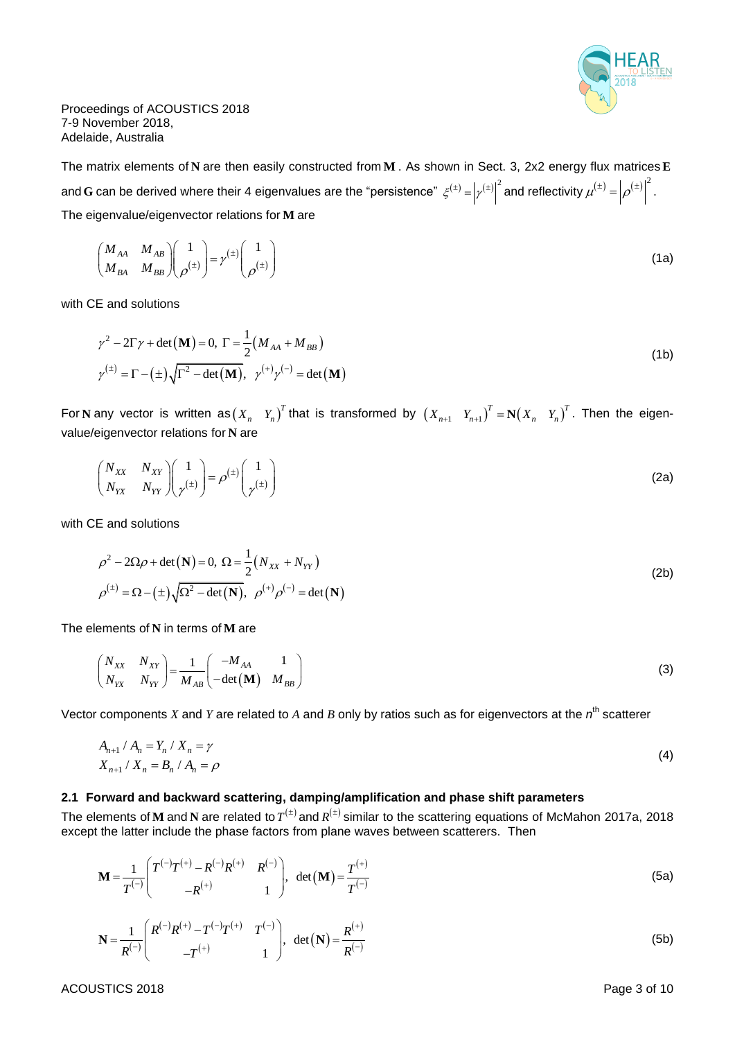

The matrix elements of **N** are then easily constructed from **M** . As shown in Sect. 3, 2x2 energy flux matrices  $\mathbf{E}$ and **G** can be derived where their 4 eigenvalues are the "persistence"  $\zeta^{(\pm)}= \left|\gamma^{(\pm)}\right|^2$  and reflectivity  $\mu^{(\pm)}=\left|\rho^{(\pm)}\right|^2$  $\mu^{(\pm)} = |\rho^{(\pm)}|^{2}$ . The eigenvalue/eigenvector relations for **M** are

$$
\begin{pmatrix}\nM_{AA} & M_{AB} \\
M_{BA} & M_{BB}\n\end{pmatrix}\n\begin{pmatrix}\n1 \\
\rho^{(\pm)}\n\end{pmatrix} = \gamma^{(\pm)}\n\begin{pmatrix}\n1 \\
\rho^{(\pm)}\n\end{pmatrix}
$$
\n(1a)

with CE and solutions

$$
\gamma^2 - 2\Gamma\gamma + \det(\mathbf{M}) = 0, \ \Gamma = \frac{1}{2} (M_{AA} + M_{BB})
$$
  

$$
\gamma^{(\pm)} = \Gamma - (\pm) \sqrt{\Gamma^2 - \det(\mathbf{M})}, \ \gamma^{(+)} \gamma^{(-)} = \det(\mathbf{M})
$$
 (1b)

For N any vector is written as $(X_n-Y_n)^T$  that is transformed by  $(X_{n+1}-Y_{n+1})^T=\mathbf{N}(X_n-Y_n)^T$ . Then the eigenvalue/eigenvector relations for **N** are

$$
\begin{pmatrix} N_{XX} & N_{XY} \ N_{XX} & N_{YY} \end{pmatrix} \begin{pmatrix} 1 \\ \gamma^{(\pm)} \end{pmatrix} = \rho^{(\pm)} \begin{pmatrix} 1 \\ \gamma^{(\pm)} \end{pmatrix}
$$
 (2a)

with CE and solutions

$$
\rho^2 - 2\Omega \rho + \det(\mathbf{N}) = 0, \ \Omega = \frac{1}{2} (N_{XX} + N_{YY})
$$
  

$$
\rho^{(\pm)} = \Omega - (\pm) \sqrt{\Omega^2 - \det(\mathbf{N})}, \ \rho^{(+)} \rho^{(-)} = \det(\mathbf{N})
$$
 (2b)

The elements of  $N$  in terms of  $M$  are

$$
\begin{pmatrix} N_{XX} & N_{XY} \ N_{YX} & N_{YY} \end{pmatrix} = \frac{1}{M_{AB}} \begin{pmatrix} -M_{AA} & 1 \ -\det(\mathbf{M}) & M_{BB} \end{pmatrix}
$$
 (3)

Vector components  $X$  and  $Y$  are related to  $A$  and  $B$  only by ratios such as for eigenvectors at the  $n^{\text{th}}$  scatterer

$$
A_{n+1} / A_n = Y_n / X_n = \gamma
$$
  

$$
X_{n+1} / X_n = B_n / A_n = \rho
$$
 (4)

#### **2.1 Forward and backward scattering, damping/amplification and phase shift parameters**

The elements of **M** and **N** are related to  $T^{(\pm)}$  and  $R^{(\pm)}$  similar to the scattering equations of McMahon 2017a, 2018 except the latter include the phase factors from plane waves between scatterers. Then

$$
\mathbf{M} = \frac{1}{T^{(-)}} \begin{pmatrix} T^{(-)}T^{(+)} - R^{(-)}R^{(+)} & R^{(-)} \\ -R^{(+)} & 1 \end{pmatrix}, \ \det(\mathbf{M}) = \frac{T^{(+)}}{T^{(-)}}
$$
(5a)

$$
\mathbf{N} = \frac{1}{R^{(-)}} \begin{pmatrix} R^{(-)}R^{(+)} - T^{(-)}T^{(+)} & T^{(-)} \\ -T^{(+)} & 1 \end{pmatrix}, \ \det(\mathbf{N}) = \frac{R^{(+)}}{R^{(-)}}
$$
(5b)

ACOUSTICS 2018 **Page 3 of 10**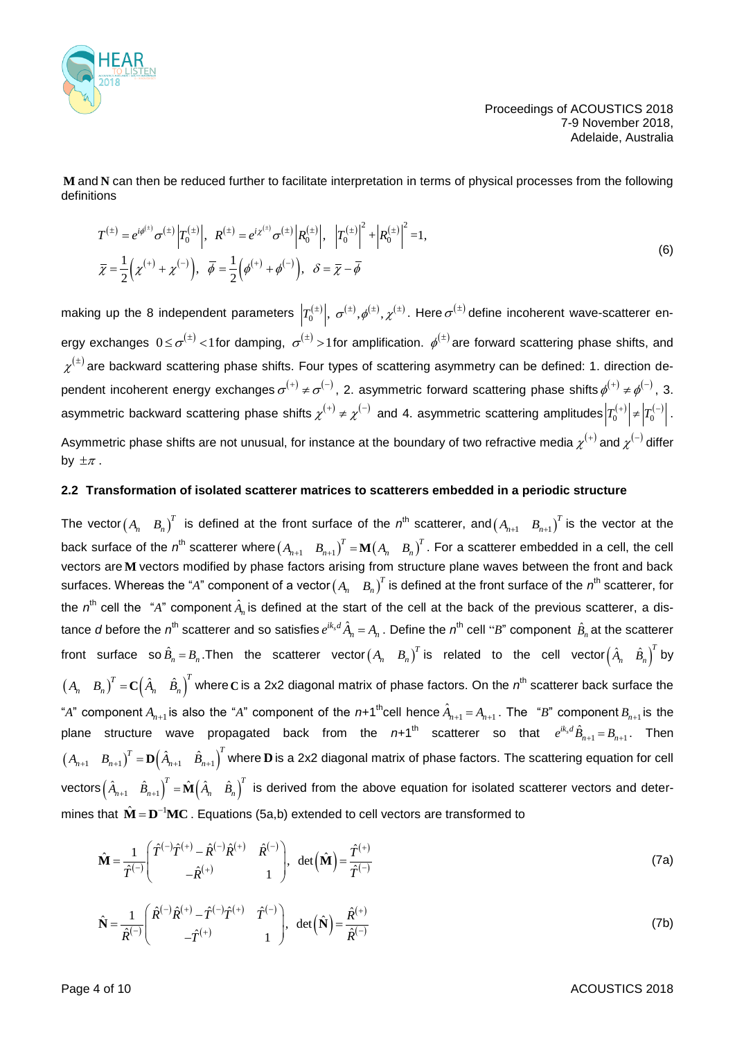

and **N** can then be reduced further to facilitate interpretation in terms of physical processes from the following definitions

$$
T^{(\pm)} = e^{i\phi^{(\pm)}} \sigma^{(\pm)} \left| T_0^{(\pm)} \right|, \quad R^{(\pm)} = e^{i\chi^{(\pm)}} \sigma^{(\pm)} \left| R_0^{(\pm)} \right|, \quad \left| T_0^{(\pm)} \right|^2 + \left| R_0^{(\pm)} \right|^2 = 1,
$$
  
\n
$$
\bar{\chi} = \frac{1}{2} \left( \chi^{(+)} + \chi^{(-)} \right), \quad \bar{\phi} = \frac{1}{2} \left( \phi^{(+)} + \phi^{(-)} \right), \quad \delta = \bar{\chi} - \bar{\phi}
$$
\n(6)

making up the 8 independent parameters  $\left|T_0^{(\pm)}\right|$ ,  $\sigma^{(\pm)},\phi^{(\pm)},\chi^{(\pm)}$ . Here  $\sigma^{(\pm)}$ define incoherent wave-scatterer energy exchanges  $0\!\le\!\sigma^{(\pm)}\!<\!1$ for damping,  $\sigma^{(\pm)}\!>\!1$ for amplification.  $\phi^{(\pm)}$ are forward scattering phase shifts, and  $\chi^{(\pm)}$  are backward scattering phase shifts. Four types of scattering asymmetry can be defined: 1. direction dependent incoherent energy exchanges  $\sigma^{(+)}\neq\sigma^{(-)}$ , 2. asymmetric forward scattering phase shifts  $\phi^{(+)}\neq\phi^{(-)}$ , 3. asymmetric backward scattering phase shifts  $\chi^{(+)}\neq\chi^{(-)}$  and 4. asymmetric scattering amplitudes  $\left|T_0^{(+)}\right|\neq\left|T_0^{(-)}\right|$  . Asymmetric phase shifts are not unusual, for instance at the boundary of two refractive media  $\chi^{(+)}$  and  $\chi^{(-)}$  differ by  $\pm \pi$  .

#### **2.2 Transformation of isolated scatterer matrices to scatterers embedded in a periodic structure**

M and X can floor the reduced further to facilitate interpretation in terms of physical processes from the following<br>
distribution:<br>  $\tau^{(n)} = \frac{\lambda^{(n)} + \lambda^{(n)}}{2} \left[ e^{i\frac{1}{2} + \lambda^{(n)}} + e^{i\frac{1}{2} + \lambda^{(n)}} e^{i\frac{1}{2} + \lambda^{(n)}} \right]$ , The vector $(A_n$   $B_n)^T$  is defined at the front surface of the  $n^{\text{th}}$  scatterer, and $(A_{n+1}$   $B_{n+1})^T$  is the vector at the back surface of the  $n^{\text{th}}$  scatterer where $\begin{pmatrix}A_{n+1}&B_{n+1}\end{pmatrix}^T$  =  $\mathbf{M}\begin{pmatrix}A_n&B_n\end{pmatrix}^T$ . For a scatterer embedded in a cell, the cell vectors are M vectors modified by phase factors arising from structure plane waves between the front and back surfaces. Whereas the "A" component of a vector $\begin{pmatrix}A_n&B_n\end{pmatrix}^T$  is defined at the front surface of the  $n^{\rm th}$  scatterer, for the  $n^{\text{th}}$  cell the "A" component  $\hat{A}_n$  is defined at the start of the cell at the back of the previous scatterer, a distance *d* before the  $n^{\text{th}}$  scatterer and so satisfies  $e^{ik_s d}$   $\hat{A}_n = A_n$  . Define the  $n^{\text{th}}$  cell "*B*" component  $\hat{B}_n$  at the scatterer front surface so $\hat{B}_n = B_n$ .Then the scatterer vector $\begin{pmatrix} A_n & B_n \end{pmatrix}^T$  is related to the cell vector $\begin{pmatrix} \hat{A}_n & \hat{B}_n \end{pmatrix}^T$  by  $(A_n-B_n)^T={\bf C}\Big(\hat A_n-\hat B_n\Big)^T$  where C is a 2x2 diagonal matrix of phase factors. On the  $n^{\rm th}$  scatterer back surface the "A" component  $A_{n+1}$  is also the "A" component of the  $n+1$ <sup>th</sup>cell hence  $\hat{A}_{n+1} = A_{n+1}$ . The "B" component  $B_{n+1}$  is the plane structure wave propagated back from the  $n+1$ <sup>th</sup> scatterer so that  $e^{ik_s d}\hat{B}_{n+1} = B_{n+1}$ . Then  $\begin{pmatrix} A_{n+1} & B_{n+1} \end{pmatrix}^T = \mathbf{D} \begin{pmatrix} \hat{A}_{n+1} & \hat{B}_{n+1} \end{pmatrix}^T$  where  $\mathbf{D}$  is a 2x2 diagonal matrix of phase factors. The scattering equation for cell vectors $\begin{pmatrix} \hat{A}_{n+1} & \hat{B}_{n+1} \end{pmatrix}^T=\hat{\bf M}\begin{pmatrix} \hat{A}_n & \hat{B}_n \end{pmatrix}^T$  is derived from the above equation for isolated scatterer vectors and determines that  $\hat{\mathbf{M}} = \mathbf{D}^{-1}\mathbf{M}\mathbf{C}$  . Equations (5a,b) extended to cell vectors are transformed to

$$
\hat{\mathbf{M}} = \frac{1}{\hat{T}^{(-)}} \begin{pmatrix} \hat{T}^{(-)} \hat{T}^{(+)} - \hat{R}^{(-)} \hat{R}^{(+)} & \hat{R}^{(-)} \\ - \hat{R}^{(+)} & 1 \end{pmatrix}, \ \det(\hat{\mathbf{M}}) = \frac{\hat{T}^{(+)}}{\hat{T}^{(-)}}
$$
(7a)

$$
\hat{\mathbf{N}} = \frac{1}{\hat{R}^{(-)}} \begin{pmatrix} \hat{R}^{(-)} \hat{R}^{(+)} - \hat{T}^{(-)} \hat{T}^{(+)} & \hat{T}^{(-)} \\ -\hat{T}^{(+)} & 1 \end{pmatrix}, \ \det(\hat{\mathbf{N}}) = \frac{\hat{R}^{(+)}}{\hat{R}^{(-)}} \tag{7b}
$$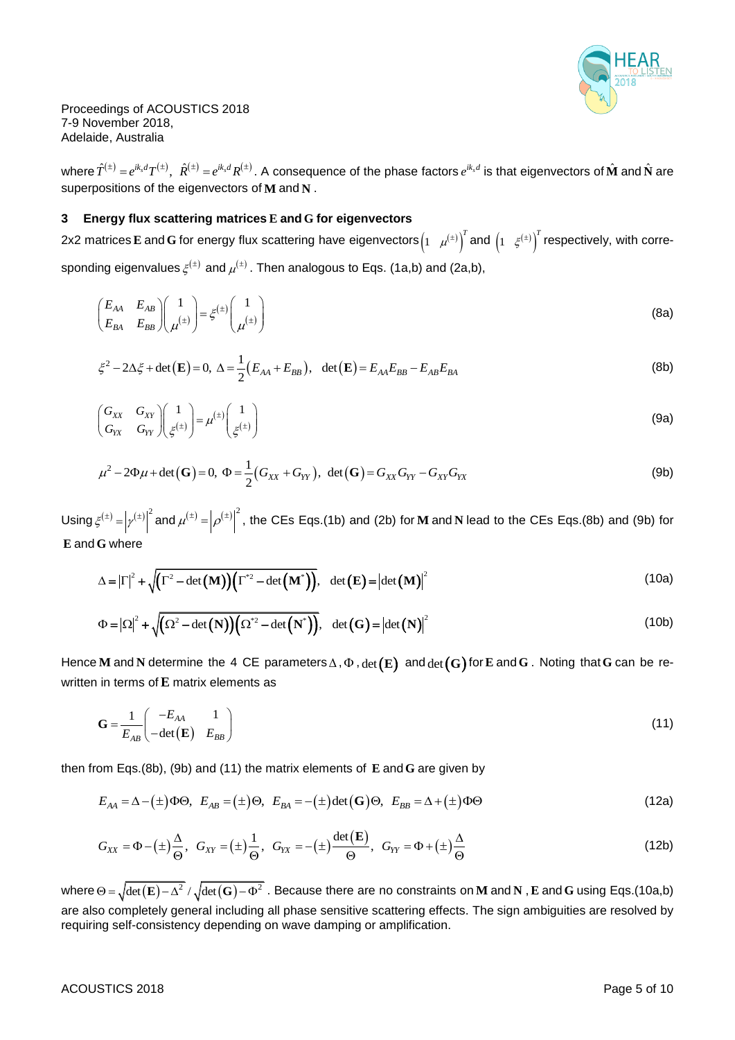

where  $\hat{T}^{(\pm)}=e^{ik_sd}T^{(\pm)},~~\hat{R}^{(\pm)}=e^{ik_sd}R^{(\pm)}$  . A consequence of the phase factors  $e^{ik_sd}$  is that eigenvectors of  $\hat{\bf M}$  and  $\hat{\bf N}$  are superpositions of the eigenvectors of **M** and **N** .

#### **3 Energy flux scattering matrices E and G for eigenvectors**

2x2 matrices $\bf E$  and  $\bf G$  for energy flux scattering have eigenvectors $\begin{pmatrix} 1 & \mu^{(\pm)} \end{pmatrix}^T$  $\left(\mu^{(\pm)}\right)^T$  and  $\left(1-\xi^{(\pm)}\right)^T$  respectively, with corresponding eigenvalues  $\xi^{(\pm)}$  and  $\mu^{(\pm)}$  . Then analogous to Eqs. (1a,b) and (2a,b),

$$
\begin{pmatrix} E_{AA} & E_{AB} \\ E_{BA} & E_{BB} \end{pmatrix} \begin{pmatrix} 1 \\ \mu^{(\pm)} \end{pmatrix} = \xi^{(\pm)} \begin{pmatrix} 1 \\ \mu^{(\pm)} \end{pmatrix} \tag{8a}
$$

$$
\xi^2 - 2\Delta \xi + \det(\mathbf{E}) = 0, \ \Delta = \frac{1}{2} (E_{AA} + E_{BB}), \ \det(\mathbf{E}) = E_{AA} E_{BB} - E_{AB} E_{BA}
$$
 (8b)

$$
\begin{pmatrix} G_{XX} & G_{XY} \\ G_{YX} & G_{YY} \end{pmatrix} \begin{pmatrix} 1 \\ \xi^{(\pm)} \end{pmatrix} = \mu^{(\pm)} \begin{pmatrix} 1 \\ \xi^{(\pm)} \end{pmatrix}
$$
\n(9a)

$$
\mu^2 - 2\Phi\mu + \det(\mathbf{G}) = 0, \ \Phi = \frac{1}{2}(G_{XX} + G_{YY}), \ \det(\mathbf{G}) = G_{XX}G_{YY} - G_{XY}G_{YX}
$$
(9b)

Using  $\xi^{(\pm)} = |\gamma^{(\pm)}|^2$  and  $\mu^{(\pm)} = |\rho^{(\pm)}|^2$ , the CEs Eqs.(1b) and (2b) for **M** and **N** lead to the CEs Eqs.(8b) and (9b) for **E** and **G** where

G where  
\n
$$
\Delta = |\Gamma|^2 + \sqrt{(\Gamma^2 - \det(\mathbf{M}))(\Gamma^{*2} - \det(\mathbf{M}^*))}, \quad \det(\mathbf{E}) = |\det(\mathbf{M})|^2
$$
\n(10a)

$$
\Delta = |I| + \sqrt{(I - \det(M))}(I - \det(M)))
$$
\n
$$
\Phi = |\Omega|^2 + \sqrt{(\Omega^2 - \det(N))} (\Omega^2 - \det(N^*))
$$
\n
$$
\det(G) = |\det(N)|^2
$$
\n(10b)

Hence  ${\bf M}$  and  ${\bf N}$  determine the 4 CE parameters $\Delta$  ,  $\Phi$  ,  $\det({\bf E})$  and  $\det({\bf G})$  for  ${\bf E}$  and  ${\bf G}$  . Noting that  ${\bf G}$  can be rewritten in terms of **E** matrix elements as

$$
\mathbf{G} = \frac{1}{E_{AB}} \begin{pmatrix} -E_{AA} & 1 \\ -\det(\mathbf{E}) & E_{BB} \end{pmatrix}
$$
 (11)

then from Eqs.(8b), (9b) and (11) the matrix elements of **E** and **G** are given by  
\n
$$
E_{AA} = \Delta - (\pm) \Phi \Theta, \ E_{AB} = (\pm) \Theta, \ E_{BA} = -(\pm) \det(\mathbf{G}) \Theta, \ E_{BB} = \Delta + (\pm) \Phi \Theta
$$
\n(12a)

$$
E_{AA} = \Delta - (\pm)\Phi\Theta, \quad E_{AB} = (\pm)\Theta, \quad E_{BA} = -(\pm)\det(\mathbf{G})\Theta, \quad E_{BB} = \Delta + (\pm)\Phi\Theta
$$
\n
$$
G_{XX} = \Phi - (\pm)\frac{\Delta}{\Theta}, \quad G_{XY} = (\pm)\frac{1}{\Theta}, \quad G_{YY} = -(\pm)\frac{\det(\mathbf{E})}{\Theta}, \quad G_{YY} = \Phi + (\pm)\frac{\Delta}{\Theta}
$$
\n
$$
(12b)
$$

where  $\Theta = \sqrt{\det(\mathbf{E}) - \Delta^2}/\sqrt{\det(\mathbf{G}) - \Phi^2}$  . Because there are no constraints on **M** and **N** , **E** and **G** using Eqs.(10a,b) are also completely general including all phase sensitive scattering effects. The sign ambiguities are resolved by requiring self-consistency depending on wave damping or amplification.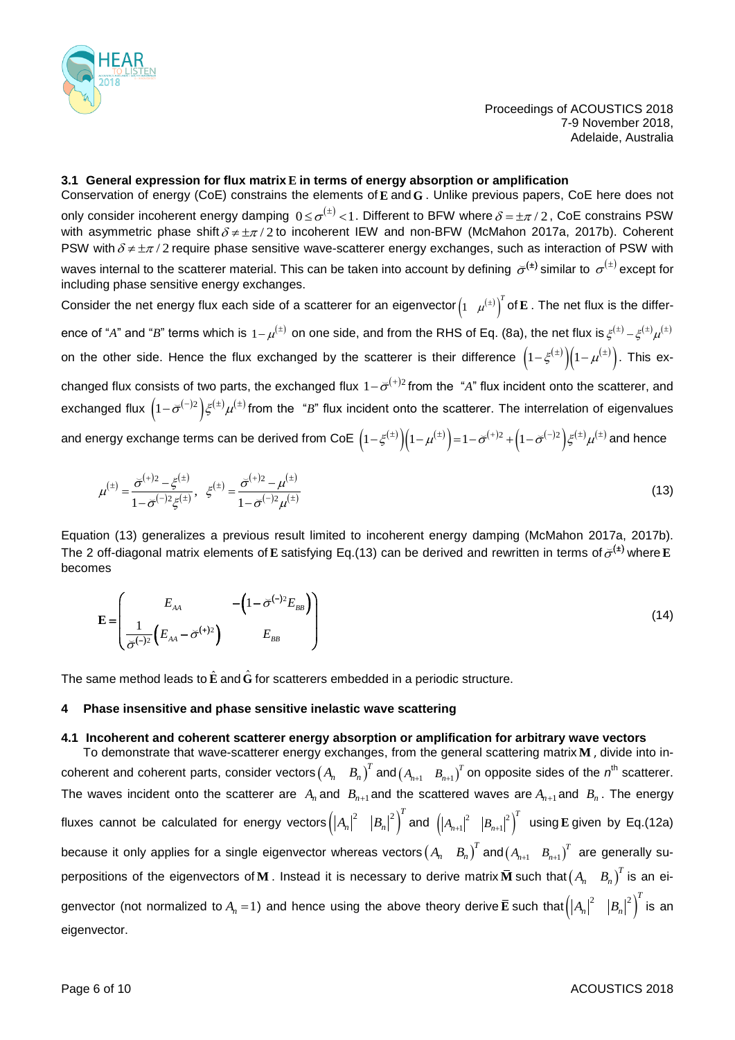

# **3.1 General expression for flux matrix E in terms of energy absorption or amplification**

Conservation of energy (CoE) constrains the elements of **E** and **G** . Unlike previous papers, CoE here does not only consider incoherent energy damping  $0\!\le\!\sigma^{(\pm)}\!<\!1.$  Different to BFW where  $\delta\!=\!\pm\pi/2$  , CoE constrains PSW with asymmetric phase shift  $\delta \neq \pm \pi/2$  to incoherent IEW and non-BFW (McMahon 2017a, 2017b). Coherent PSW with  $\delta$   $\neq$   $\pm \pi$  / 2 require phase sensitive wave-scatterer energy exchanges, such as interaction of PSW with waves internal to the scatterer material. This can be taken into account by defining  $\,\check{\sigma}^{(\pm)}$  similar to  $\,\sigma^{(\pm)}$  except for including phase sensitive energy exchanges.

Consider the net energy flux each side of a scatterer for an eigenvector $\begin{pmatrix} 1 & \mu^{(\pm)} \end{pmatrix}^T$  $\mu^{(\pm)}$ ] of **E** . The net flux is the difference of "*A*" and "*B*" terms which is  $1-\mu^{(\pm)}$  on one side, and from the RHS of Eq. (8a), the net flux is  $\xi^{(\pm)}-\xi^{(\pm)}\mu^{(\pm)}$ on the other side. Hence the flux exchanged by the scatterer is their difference  $\left(1-\xi^{(\pm)}\right)\!\!\left(1-\mu^{(\pm)}\right)$ . This exchanged flux consists of two parts, the exchanged flux  $1-\breve{\sigma}^{(+)2}$  from the "A" flux incident onto the scatterer, and exchanged flux  $\left(1-\breve{\sigma}^{(-)2}\right)\xi^{(\pm)}\mu^{(\pm)}$  from the "*B*" flux incident onto the scatterer. The interrelation of eigenvalues and energy exchange terms can be derived from CoE  $\left(1-\xi^{(\pm)}\right)\left(1-\mu^{(\pm)}\right)=1-\bar{\sigma}^{(+)2}+\left(1-\bar{\sigma}^{(-)2}\right)\xi^{(\pm)}\mu^{(\pm)}$  and hence

$$
\mu^{(\pm)} = \frac{\overline{\sigma}^{(+)2} - \xi^{(\pm)}}{1 - \overline{\sigma}^{(-)2} \xi^{(\pm)}}, \quad \xi^{(\pm)} = \frac{\overline{\sigma}^{(+)2} - \mu^{(\pm)}}{1 - \overline{\sigma}^{(-)2} \mu^{(\pm)}} \tag{13}
$$

Equation (13) generalizes a previous result limited to incoherent energy damping (McMahon 2017a, 2017b). The 2 off-diagonal matrix elements of E satisfying Eq.(13) can be derived and rewritten in terms of  $\breve{\sigma}^{(\pm)}$  where E becomes

$$
\mathbf{E} = \begin{pmatrix} E_{AA} & -\left(1 - \bar{\sigma}^{(-)}{}^{2}E_{BB}\right) \\ \frac{1}{\bar{\sigma}^{(-)}{}^{2}}\left(E_{AA} - \bar{\sigma}^{(+)}{}^{2}\right) & E_{BB} \end{pmatrix}
$$
(14)

The same method leads to  $\hat{\mathbf{E}}$  and  $\hat{\mathbf{G}}$  for scatterers embedded in a periodic structure.

#### **4 Phase insensitive and phase sensitive inelastic wave scattering**

# **4.1 Incoherent and coherent scatterer energy absorption or amplification for arbitrary wave vectors**

To demonstrate that wave-scatterer energy exchanges, from the general scattering matrix **M** , divide into incoherent and coherent parts, consider vectors  $(A_n-B_n)^T$  and  $(A_{n+1}-B_{n+1})^T$  on opposite sides of the  $n^{\text{th}}$  scatterer. The waves incident onto the scatterer are  $A_n$  and  $B_{n+1}$  and the scattered waves are  $A_{n+1}$  and  $B_n$ . The energy fluxes cannot be calculated for energy vectors $\left(\left|A_n\right|^2-\left|B_n\right|^2\right)$  ${A_n}{\mid}^2 \quad \left|B_n\right|^2 \bigg)^T$  and  $\, \left(\left|A_{n\text{+}1}\right|^2 \quad \left|B_{n\text{+}1}\right|^2 \right)^T$  $\vert \mathbf{D}_{n+1} \vert$  $\left|A_{n+1}\right|^2\;\; \left|B_{n+1}\right|^2\right)^T\;$  using **E** given by Eq.(12a) because it only applies for a single eigenvector whereas vectors $\begin{pmatrix}A_n&B_n\end{pmatrix}^T$  and $\begin{pmatrix}A_{n+1}&B_{n+1}\end{pmatrix}^T$  are generally superpositions of the eigenvectors of ${\bf M}$  . Instead it is necessary to derive matrix $\bar{\bf M}$  such that $\begin{pmatrix}A_n&B_n\end{pmatrix}^T$  is an eigenvector (not normalized to  $A_n = 1$ ) and hence using the above theory derive  $\bar{E}$  such that $(|A_n|^2 - |B_n|^2)$  $\left|A_{n}\right|^{2} \quad \left|B_{n}\right|^{2} \right)^{T}$  is an eigenvector.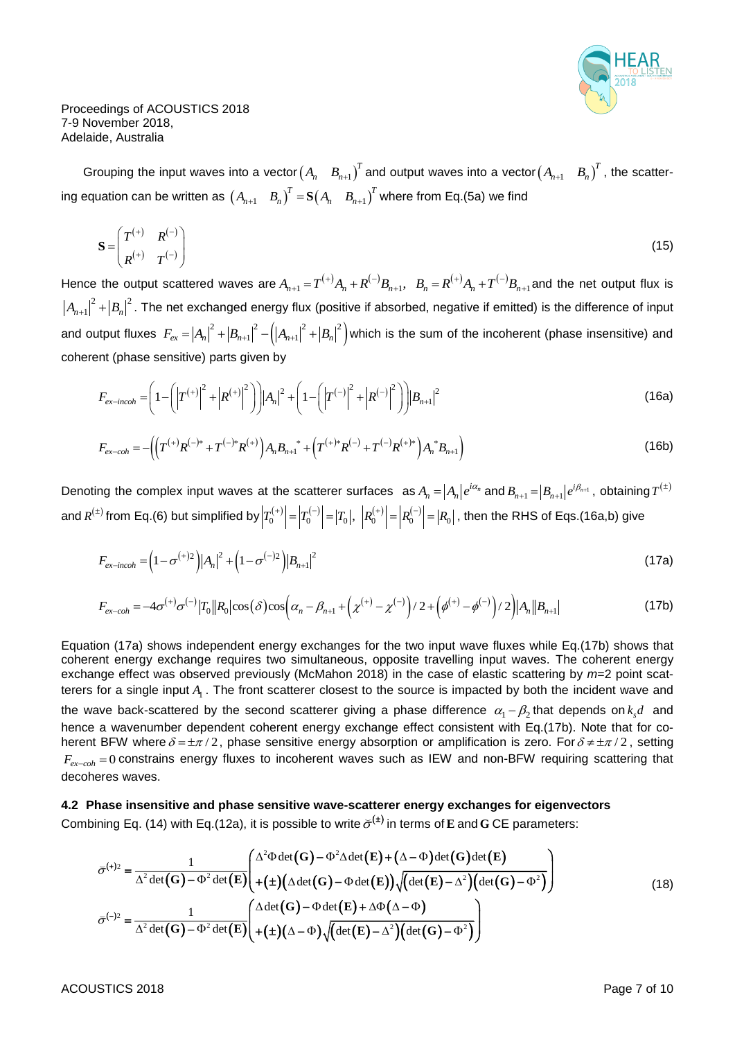

Grouping the input waves into a vector $\begin{pmatrix} A_n & B_{n+1} \end{pmatrix}^T$  and output waves into a vector $\begin{pmatrix} A_{n+1} & B_n \end{pmatrix}^T$ , the scattering equation can be written as  $\begin{pmatrix} A_{n+1} & B_n \end{pmatrix}^T = \mathbf{S} \begin{pmatrix} A_n & B_{n+1} \end{pmatrix}^T$  where from Eq.(5a) we find

$$
\mathbf{S} = \begin{pmatrix} T^{(+)} & R^{(-)} \\ R^{(+)} & T^{(-)} \end{pmatrix} \tag{15}
$$

Hence the output scattered waves are  $A_{n+1} = T^{(+)}A_n + R^{(-)}B_{n+1}$ ,  $B_n = R^{(+)}A_n + T^{(-)}$  $A_{n+1} = T^{(+)}A_n + R^{(-)}B_{n+1}$ ,  $B_n = R^{(+)}A_n + T^{(-)}B_{n+1}$  and the net output flux is  ${A_{n+1}}^2|^2 + \left|B_n\right|^2$ . The net exchanged energy flux (positive if absorbed, negative if emitted) is the difference of input and output fluxes  $F_{ex} = |A_n|^2 + |B_{n+1}|^2 - (|A_{n+1}|^2 + |B_n|^2)$  which is the sum of the incoherent (phase insensitive) and

coherent (phase sensitive) parts given by  
\n
$$
F_{ex-incoh} = \left(1 - \left(\left|T^{(+)}\right|^2 + \left|R^{(+)}\right|^2\right)\right) \left|A_n\right|^2 + \left(1 - \left(\left|T^{(-)}\right|^2 + \left|R^{(-)}\right|^2\right)\right) \left|B_{n+1}\right|^2\right)
$$
\n(16a)

$$
F_{ex-coh} = -\left(\left(T^{(+)}R^{(-)*} + T^{(-)*}R^{(+)}\right)A_nB_{n+1}^* + \left(T^{(+)*}R^{(-)} + T^{(-)}R^{(+)*}\right)A_n^*B_{n+1}\right)
$$
(16b)

Denoting the complex input waves at the scatterer surfaces  $a_n = |A_n|e^{i\alpha_n}$  and  $B_{n+1} = |B_{n+1}|e^{i\beta_{n+1}}$ , obtaining  $T^{(\pm)}$ and  $R^{(\pm)}$  from Eq.(6) but simplified by  $\left|T_0^{(+)}\right| = \left|T_0^{(-)}\right| = \left|T_0\right|,~ \left|R_0^{(+)}\right| = \left|R_0^{(-)}\right|$  $\left|T_{0}^{(+)}\right| = \left|T_{0}^{-}\right| = \left|T_{0}\right|, \; \left|R_{0}^{(+)}\right| = \left|R_{0}^{-}\right| = \left|R_{0}\right|, \; \text{then the RHS of Eqs.(16a,b) give}$ 

$$
F_{ex-incoh} = \left(1 - \sigma^{(+)2}\right) |A_n|^2 + \left(1 - \sigma^{(-)2}\right) |B_{n+1}|^2
$$
\n(17a)

$$
F_{ex-incoh} = (1 - \sigma^{(+)2})|A_n|^2 + (1 - \sigma^{(-)2})|B_{n+1}|^2
$$
\n
$$
F_{ex-coh} = -4\sigma^{(+)}\sigma^{(-)}|T_0||R_0|\cos(\delta)\cos(\alpha_n - \beta_{n+1} + (\chi^{(+)} - \chi^{(-)})/2 + (\phi^{(+)} - \phi^{(-)})/2)|A_n||B_{n+1}|
$$
\n(17b)

Equation (17a) shows independent energy exchanges for the two input wave fluxes while Eq.(17b) shows that coherent energy exchange requires two simultaneous, opposite travelling input waves. The coherent energy exchange effect was observed previously (McMahon 2018) in the case of elastic scattering by *m*=2 point scatterers for a single input  $A_1$  . The front scatterer closest to the source is impacted by both the incident wave and the wave back-scattered by the second scatterer giving a phase difference  $\alpha_1 - \beta_2$ that depends on $k_s d$  and hence a wavenumber dependent coherent energy exchange effect consistent with Eq.(17b). Note that for coherent BFW where  $\delta$  =  $\pm \pi/2$ , phase sensitive energy absorption or amplification is zero. For  $\delta$  ≠  $\pm \pi/2$ , setting  $F_{ex-coh}$  = 0 constrains energy fluxes to incoherent waves such as IEW and non-BFW requiring scattering that decoheres waves.

4.2 Phase insensitive and phase sensitive wave-scatterer energy exchanges for eigenvectors  
Combining Eq. (14) with Eq.(12a), it is possible to write 
$$
\bar{\sigma}^{(+)}
$$
 in terms of E and G CE parameters:  

$$
\bar{\sigma}^{(+)} = \frac{1}{\Delta^2 \det(G) - \Phi^2 \det(E)} \left( \frac{\Delta^2 \Phi \det(G) - \Phi^2 \Delta \det(E) + (\Delta - \Phi) \det(G) \det(E)}{+(\pm)(\Delta \det(G) - \Phi \det(E)) \sqrt{(\det(E) - \Delta^2)(\det(G) - \Phi^2) }} \right)
$$
(18)  

$$
\bar{\sigma}^{(-)} = \frac{1}{\Delta^2 \det(G) - \Phi^2 \det(E)} \left( \frac{\Delta \det(G) - \Phi \det(E) + \Delta \Phi(\Delta - \Phi)}{+(\pm)(\Delta - \Phi) \sqrt{(\det(E) - \Delta^2)(\det(G) - \Phi^2)}} \right)
$$

ACOUSTICS 2018 **Page 7 of 10**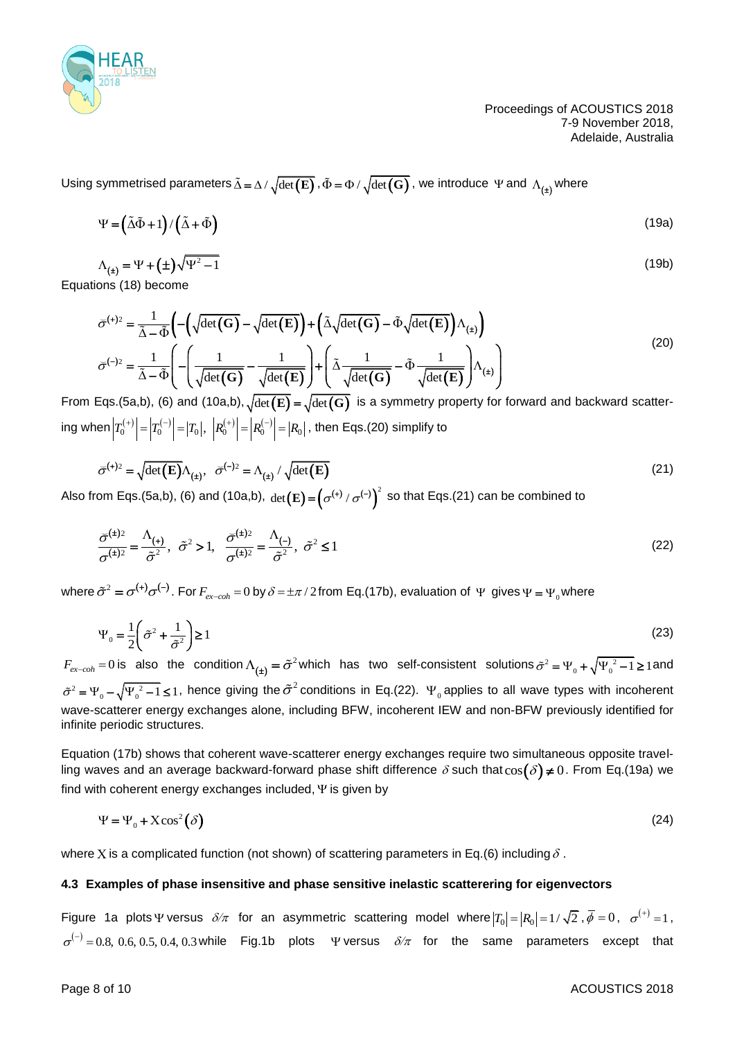

Using symmetrised parameters  $\tilde{\Delta} = \Delta / \sqrt{\det(\mathbf{E})}$  ,  $\tilde{\Phi} = \Phi / \sqrt{\det(\mathbf{G})}$  , we introduce  $\,\Psi$  and  $\,\Lambda_{(\pm)}$ where

$$
\Psi = (\tilde{\Delta}\tilde{\Phi} + 1) / (\tilde{\Delta} + \tilde{\Phi})
$$
\n(19a)

$$
\Lambda_{\text{(t)}} = \Psi + (\pm) \sqrt{\Psi^2 - 1} \tag{19b}
$$

Equations (18) become

$$
\bar{\sigma}^{(+)} = \frac{1}{\tilde{\Delta} - \tilde{\Phi}} \left( -\left( \sqrt{\det(\mathbf{G})} - \sqrt{\det(\mathbf{E})} \right) + \left( \tilde{\Delta} \sqrt{\det(\mathbf{G})} - \tilde{\Phi} \sqrt{\det(\mathbf{E})} \right) \Lambda_{(\pm)} \right)
$$
\n
$$
\bar{\sigma}^{(-)} = \frac{1}{\tilde{\Delta} - \tilde{\Phi}} \left( -\left( \frac{1}{\sqrt{\det(\mathbf{G})}} - \frac{1}{\sqrt{\det(\mathbf{E})}} \right) + \left( \tilde{\Delta} \frac{1}{\sqrt{\det(\mathbf{G})}} - \tilde{\Phi} \frac{1}{\sqrt{\det(\mathbf{E})}} \right) \Lambda_{(\pm)} \right)
$$
\n(20)

From Eqs.(5a,b), (6) and (10a,b),  $\sqrt{\det({\bf E})}=\sqrt{\det({\bf G})}$  is a symmetry property for forward and backward scattering when  $\left|T_0^{(+)}\right| = \left|T_0^{(-)}\right| = \left|T_0\right|,~\left|R_0^{(+)}\right| = \left|R_0^{(-)}\right|$  $T_0^{(+)}| = |T_0^{(-)}| = |T_0|, \,\, \left| R_0^{(+)} \right| = \left| R_0^{(-)} \right| = |R_0| \,, \,\, \text{then Eqs. (20) simplify to}$ 

$$
\overline{\sigma}^{(+)2} = \sqrt{\det(\mathbf{E})} \Lambda_{(\pm)}, \quad \overline{\sigma}^{(-)2} = \Lambda_{(\pm)} / \sqrt{\det(\mathbf{E})}
$$
\n(21)

Also from Eqs.(5a,b), (6) and (10a,b),  $det(\mathbf{E}) = (\sigma^{(+)} / \sigma^{(-)})^2$  so that Eqs.(21) can be combined to

$$
\frac{\overline{\sigma}^{(\pm)2}}{\sigma^{(\pm)2}} = \frac{\Lambda_{(\pm)}}{\tilde{\sigma}^2}, \quad \tilde{\sigma}^2 > 1, \quad \frac{\overline{\sigma}^{(\pm)2}}{\sigma^{(\pm)2}} = \frac{\Lambda_{(-)}}{\tilde{\sigma}^2}, \quad \tilde{\sigma}^2 \le 1 \tag{22}
$$

where  $\tilde{\sigma}^2 = \sigma^{(+)} \sigma^{(-)}$ . For  $F_{ex-coh} = 0$  by  $\delta = \pm \pi/2$  from Eq.(17b), evaluation of  $\Psi$  gives  $\Psi = \Psi_0$  where

$$
\Psi_0 = \frac{1}{2} \left( \tilde{\sigma}^2 + \frac{1}{\tilde{\sigma}^2} \right) \ge 1
$$
\n(23)

 $F_{ex-coh} = 0$  is also the condition  $\Lambda_{(\pm)} = \tilde{\sigma}^2$  which has two self-consistent solutions  $\tilde{\sigma}^2 = \Psi_0 + \sqrt{\Psi_0^2 - 1} \ge 1$  and  $\tilde{\sigma}^2 = \Psi_0 - \sqrt{\Psi_0^2 - 1} \leq 1$ , hence giving the  $\tilde{\sigma}^2$  conditions in Eq.(22).  $\Psi_0$  applies to all wave types with incoherent wave-scatterer energy exchanges alone, including BFW, incoherent IEW and non-BFW previously identified for infinite periodic structures.

Equation (17b) shows that coherent wave-scatterer energy exchanges require two simultaneous opposite travelling waves and an average backward-forward phase shift difference  $\delta$  such that $\cos(\delta)$ ≠ $0$ . From Eq.(19a) we find with coherent energy exchanges included,  $\Psi$  is given by

$$
\Psi = \Psi_0 + X\cos^2(\delta) \tag{24}
$$

where X is a complicated function (not shown) of scattering parameters in Eq.(6) including  $\delta$  .

#### **4.3 Examples of phase insensitive and phase sensitive inelastic scatterering for eigenvectors**

Figure 1a plots  $\Psi$  versus  $\delta\!/\pi$  for an asymmetric scattering model where  $|T_0|\!=\!|R_0|\!=\!1/\sqrt{2}$  ,  $\overline{\phi}=0$ ,  $\sigma^{(+)}\!=\!1$ ,  $\sigma^{(-)} = 0.8, 0.6, 0.5, 0.4, 0.3$  while Fig.1b plots  $\Psi$  versus  $\delta/\pi$  for the same parameters except that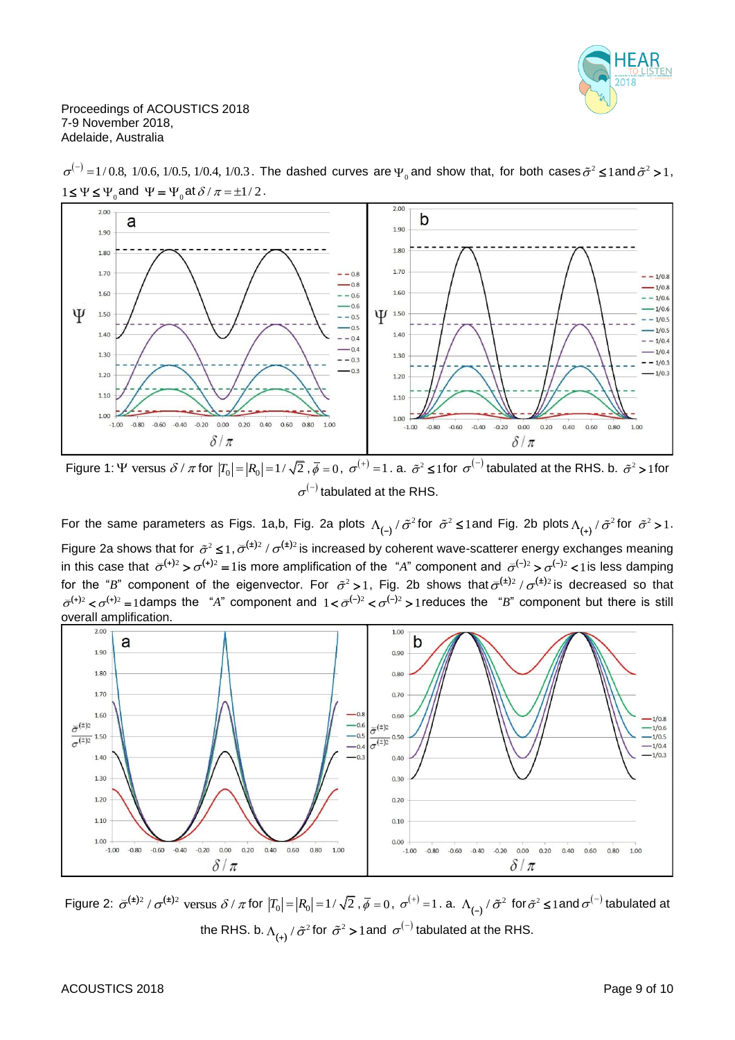



=1/0.8, 1/0.6, 1/0.5, 1/0.4, 1/0.3. The dashed curves are  $\Psi_0$  and show that, for both cases  $\tilde{\sigma}^2$  ≤1and  $\tilde{\sigma}^2$  >1,  $1 \le \Psi \le \Psi_0$  and  $\Psi = \Psi_0$  at  $\delta / \pi = \pm 1/2$ .

Figure 1:  $\Psi$  versus  $\delta/\pi$  for  $|T_0| = |R_0| = 1/\sqrt{2}$  ,  $\bar{\phi} = 0$ ,  $\sigma^{(+)} = 1$ . a.  $\tilde{\sigma}^2 \le 1$  for  $\sigma^{(-)}$  tabulated at the RHS. b.  $\tilde{\sigma}^2 > 1$  for  $\sigma^{(-)}$  tabulated at the RHS.

For the same parameters as Figs. 1a,b, Fig. 2a plots  $\Lambda_{(-)}$  $\Lambda_{(-)}$  /  $\tilde{\sigma}^2$  for  $\tilde{\sigma}^2 \leq 1$  and Fig. 2b plots  $\Lambda_{(+)}$  /  $\tilde{\sigma}^2$  for  $\tilde{\sigma}^2 > 1$ . Figure 2a shows that for  $\tilde{\sigma}^2 \leq 1, \tilde{\sigma}^{(\pm)2}/\sigma^{(\pm)2}$  is increased by coherent wave-scatterer energy exchanges meaning in this case that  $\sigma^{(+)2} > \sigma^{(+)2} = 1$  is more amplification of the "A" component and  $\sigma^{(-)2} > \sigma^{(-)2} < 1$  is less damping for the "B" component of the eigenvector. For  $\tilde{\sigma}^2 > 1$ , Fig. 2b shows that  $\tilde{\sigma}^{(\pm)2}/\sigma^{(\pm)2}$  is decreased so that  $\overline{\sigma}^{(+)2} < \sigma^{(+)2} = 1$ damps the "*A*" component and  $1 < \overline{\sigma}^{(-)2} < \sigma^{(-)2} > 1$  reduces the "*B*" component but there is still overall amplification.



Figure 2:  $\breve{\sigma}^{(\pm)2}$  /  $\sigma^{(\pm)2}$  versus  $\delta$  /  $\pi$  for  $\left|T_0\right| = \left|R_0\right| = 1/\sqrt{2}$  ,  $\bar{\phi} = 0$  ,  $\sigma^{(+)} = 1$  . a.  $\Lambda_{(-)}$  $\Lambda_{(-)}$  /  $\tilde{\sigma}^2$  for  $\tilde{\sigma}^2 \leq 1$  and  $\sigma^{(-)}$  tabulated at the RHS. b.  $\Lambda_{(+)}$  /  $\tilde{\sigma}^2$  for  $\tilde{\sigma}^2$  > 1 and  $\, \sigma^{(-)}$  tabulated at the RHS.